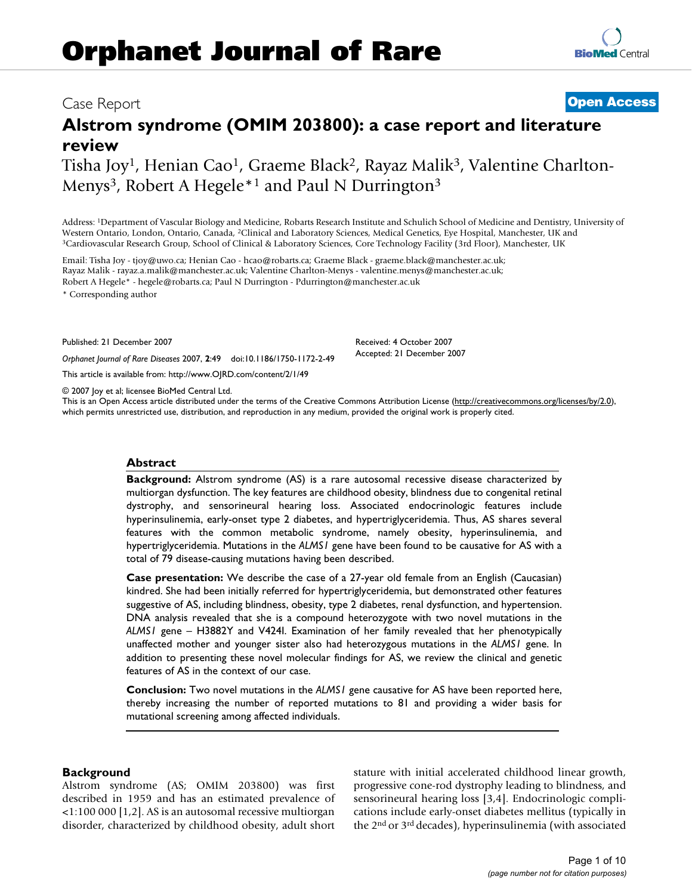# **Alstrom syndrome (OMIM 203800): a case report and literature review**

Tisha Joy<sup>1</sup>, Henian Cao<sup>1</sup>, Graeme Black<sup>2</sup>, Rayaz Malik<sup>3</sup>, Valentine Charlton-Menys<sup>3</sup>, Robert A Hegele<sup>\*1</sup> and Paul N Durrington<sup>3</sup>

Address: 1Department of Vascular Biology and Medicine, Robarts Research Institute and Schulich School of Medicine and Dentistry, University of Western Ontario, London, Ontario, Canada, <sup>2</sup>Clinical and Laboratory Sciences, Medical Genetics, Eye Hospital, Manchester, UK and<br><sup>3</sup>Cardiovascular Research Group, School of Clinical & Laboratory Sciences, Core Technology

Email: Tisha Joy - tjoy@uwo.ca; Henian Cao - hcao@robarts.ca; Graeme Black - graeme.black@manchester.ac.uk; Rayaz Malik - rayaz.a.malik@manchester.ac.uk; Valentine Charlton-Menys - valentine.menys@manchester.ac.uk; Robert A Hegele\* - hegele@robarts.ca; Paul N Durrington - Pdurrington@manchester.ac.uk

\* Corresponding author

Published: 21 December 2007

*Orphanet Journal of Rare Diseases* 2007, **2**:49 doi:10.1186/1750-1172-2-49

[This article is available from: http://www.OJRD.com/content/2/1/49](http://www.OJRD.com/content/2/1/49)

© 2007 Joy et al; licensee BioMed Central Ltd.

This is an Open Access article distributed under the terms of the Creative Commons Attribution License [\(http://creativecommons.org/licenses/by/2.0\)](http://creativecommons.org/licenses/by/2.0), which permits unrestricted use, distribution, and reproduction in any medium, provided the original work is properly cited.

Received: 4 October 2007 Accepted: 21 December 2007

# **Abstract**

**Background:** Alstrom syndrome (AS) is a rare autosomal recessive disease characterized by multiorgan dysfunction. The key features are childhood obesity, blindness due to congenital retinal dystrophy, and sensorineural hearing loss. Associated endocrinologic features include hyperinsulinemia, early-onset type 2 diabetes, and hypertriglyceridemia. Thus, AS shares several features with the common metabolic syndrome, namely obesity, hyperinsulinemia, and hypertriglyceridemia. Mutations in the *ALMS1* gene have been found to be causative for AS with a total of 79 disease-causing mutations having been described.

**Case presentation:** We describe the case of a 27-year old female from an English (Caucasian) kindred. She had been initially referred for hypertriglyceridemia, but demonstrated other features suggestive of AS, including blindness, obesity, type 2 diabetes, renal dysfunction, and hypertension. DNA analysis revealed that she is a compound heterozygote with two novel mutations in the *ALMS1* gene – H3882Y and V424I. Examination of her family revealed that her phenotypically unaffected mother and younger sister also had heterozygous mutations in the *ALMS1* gene. In addition to presenting these novel molecular findings for AS, we review the clinical and genetic features of AS in the context of our case.

**Conclusion:** Two novel mutations in the *ALMS1* gene causative for AS have been reported here, thereby increasing the number of reported mutations to 81 and providing a wider basis for mutational screening among affected individuals.

# **Background**

Alstrom syndrome (AS; OMIM 203800) was first described in 1959 and has an estimated prevalence of <1:100 000 [1,2]. AS is an autosomal recessive multiorgan disorder, characterized by childhood obesity, adult short stature with initial accelerated childhood linear growth, progressive cone-rod dystrophy leading to blindness, and sensorineural hearing loss [3,4]. Endocrinologic complications include early-onset diabetes mellitus (typically in the 2nd or 3rd decades), hyperinsulinemia (with associated

Case Report **[Open Access](http://www.biomedcentral.com/info/about/charter/)**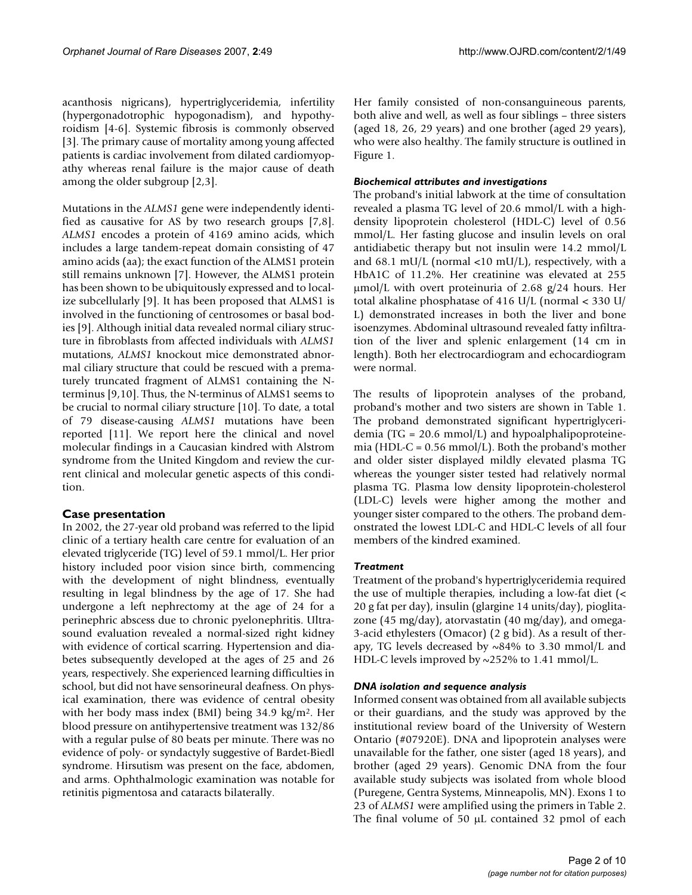acanthosis nigricans), hypertriglyceridemia, infertility (hypergonadotrophic hypogonadism), and hypothyroidism [4-6]. Systemic fibrosis is commonly observed [3]. The primary cause of mortality among young affected patients is cardiac involvement from dilated cardiomyopathy whereas renal failure is the major cause of death among the older subgroup [2,3].

Mutations in the *ALMS1* gene were independently identified as causative for AS by two research groups [7,8]. *ALMS1* encodes a protein of 4169 amino acids, which includes a large tandem-repeat domain consisting of 47 amino acids (aa); the exact function of the ALMS1 protein still remains unknown [7]. However, the ALMS1 protein has been shown to be ubiquitously expressed and to localize subcellularly [9]. It has been proposed that ALMS1 is involved in the functioning of centrosomes or basal bodies [9]. Although initial data revealed normal ciliary structure in fibroblasts from affected individuals with *ALMS1* mutations, *ALMS1* knockout mice demonstrated abnormal ciliary structure that could be rescued with a prematurely truncated fragment of ALMS1 containing the Nterminus [9,10]. Thus, the N-terminus of ALMS1 seems to be crucial to normal ciliary structure [10]. To date, a total of 79 disease-causing *ALMS1* mutations have been reported [11]. We report here the clinical and novel molecular findings in a Caucasian kindred with Alstrom syndrome from the United Kingdom and review the current clinical and molecular genetic aspects of this condition.

# **Case presentation**

In 2002, the 27-year old proband was referred to the lipid clinic of a tertiary health care centre for evaluation of an elevated triglyceride (TG) level of 59.1 mmol/L. Her prior history included poor vision since birth, commencing with the development of night blindness, eventually resulting in legal blindness by the age of 17. She had undergone a left nephrectomy at the age of 24 for a perinephric abscess due to chronic pyelonephritis. Ultrasound evaluation revealed a normal-sized right kidney with evidence of cortical scarring. Hypertension and diabetes subsequently developed at the ages of 25 and 26 years, respectively. She experienced learning difficulties in school, but did not have sensorineural deafness. On physical examination, there was evidence of central obesity with her body mass index (BMI) being 34.9 kg/m2. Her blood pressure on antihypertensive treatment was 132/86 with a regular pulse of 80 beats per minute. There was no evidence of poly- or syndactyly suggestive of Bardet-Biedl syndrome. Hirsutism was present on the face, abdomen, and arms. Ophthalmologic examination was notable for retinitis pigmentosa and cataracts bilaterally.

Her family consisted of non-consanguineous parents, both alive and well, as well as four siblings – three sisters (aged 18, 26, 29 years) and one brother (aged 29 years), who were also healthy. The family structure is outlined in Figure 1.

# *Biochemical attributes and investigations*

The proband's initial labwork at the time of consultation revealed a plasma TG level of 20.6 mmol/L with a highdensity lipoprotein cholesterol (HDL-C) level of 0.56 mmol/L. Her fasting glucose and insulin levels on oral antidiabetic therapy but not insulin were 14.2 mmol/L and 68.1 mU/L (normal  $\langle$ 10 mU/L), respectively, with a HbA1C of 11.2%. Her creatinine was elevated at 255 µmol/L with overt proteinuria of 2.68 g/24 hours. Her total alkaline phosphatase of 416 U/L (normal < 330 U/ L) demonstrated increases in both the liver and bone isoenzymes. Abdominal ultrasound revealed fatty infiltration of the liver and splenic enlargement (14 cm in length). Both her electrocardiogram and echocardiogram were normal.

The results of lipoprotein analyses of the proband, proband's mother and two sisters are shown in Table 1. The proband demonstrated significant hypertriglyceridemia (TG = 20.6 mmol/L) and hypoalphalipoproteinemia (HDL-C =  $0.56$  mmol/L). Both the proband's mother and older sister displayed mildly elevated plasma TG whereas the younger sister tested had relatively normal plasma TG. Plasma low density lipoprotein-cholesterol (LDL-C) levels were higher among the mother and younger sister compared to the others. The proband demonstrated the lowest LDL-C and HDL-C levels of all four members of the kindred examined.

# *Treatment*

Treatment of the proband's hypertriglyceridemia required the use of multiple therapies, including a low-fat diet (< 20 g fat per day), insulin (glargine 14 units/day), pioglitazone (45 mg/day), atorvastatin (40 mg/day), and omega-3-acid ethylesters (Omacor) (2 g bid). As a result of therapy, TG levels decreased by ~84% to 3.30 mmol/L and HDL-C levels improved by ~252% to 1.41 mmol/L.

# *DNA isolation and sequence analysis*

Informed consent was obtained from all available subjects or their guardians, and the study was approved by the institutional review board of the University of Western Ontario (#07920E). DNA and lipoprotein analyses were unavailable for the father, one sister (aged 18 years), and brother (aged 29 years). Genomic DNA from the four available study subjects was isolated from whole blood (Puregene, Gentra Systems, Minneapolis, MN). Exons 1 to 23 of *ALMS1* were amplified using the primers in Table 2. The final volume of 50 µL contained 32 pmol of each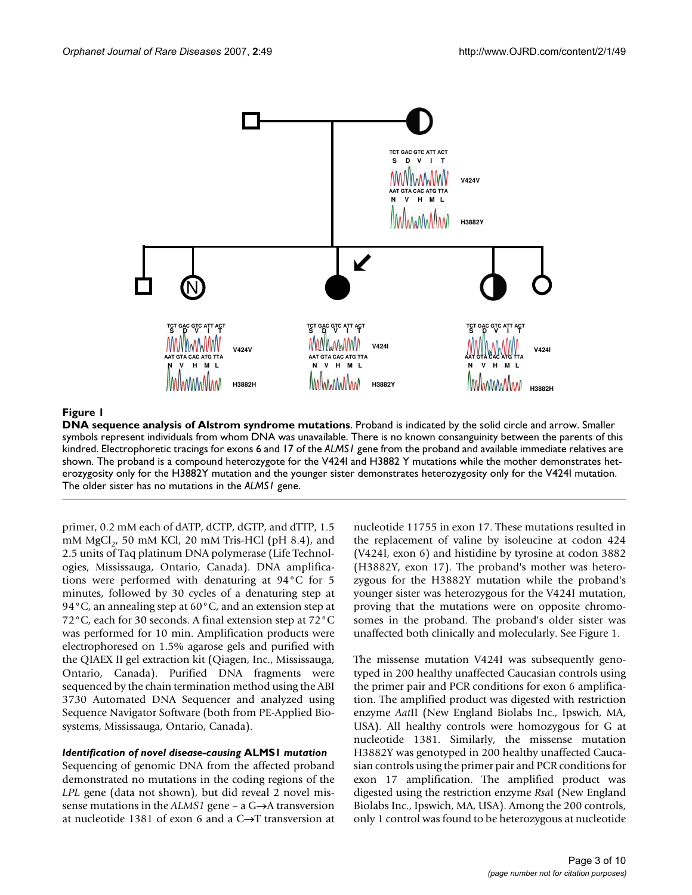

# Figure 1

**DNA sequence analysis of Alstrom syndrome mutations**. Proband is indicated by the solid circle and arrow. Smaller symbols represent individuals from whom DNA was unavailable. There is no known consanguinity between the parents of this kindred. Electrophoretic tracings for exons 6 and 17 of the *ALMS1* gene from the proband and available immediate relatives are shown. The proband is a compound heterozygote for the V424I and H3882 Y mutations while the mother demonstrates heterozygosity only for the H3882Y mutation and the younger sister demonstrates heterozygosity only for the V424I mutation. The older sister has no mutations in the *ALMS1* gene.

primer, 0.2 mM each of dATP, dCTP, dGTP, and dTTP, 1.5 mM  $MgCl<sub>2</sub>$ , 50 mM KCl, 20 mM Tris-HCl (pH 8.4), and 2.5 units of Taq platinum DNA polymerase (Life Technologies, Mississauga, Ontario, Canada). DNA amplifications were performed with denaturing at 94°C for 5 minutes, followed by 30 cycles of a denaturing step at 94°C, an annealing step at 60°C, and an extension step at 72°C, each for 30 seconds. A final extension step at 72°C was performed for 10 min. Amplification products were electrophoresed on 1.5% agarose gels and purified with the QIAEX II gel extraction kit (Qiagen, Inc., Mississauga, Ontario, Canada). Purified DNA fragments were sequenced by the chain termination method using the ABI 3730 Automated DNA Sequencer and analyzed using Sequence Navigator Software (both from PE-Applied Biosystems, Mississauga, Ontario, Canada).

# *Identification of novel disease-causing* **ALMS1** *mutation*

Sequencing of genomic DNA from the affected proband demonstrated no mutations in the coding regions of the *LPL* gene (data not shown), but did reveal 2 novel missense mutations in the *ALMS1* gene – a G→A transversion at nucleotide 1381 of exon 6 and a  $C \rightarrow T$  transversion at

nucleotide 11755 in exon 17. These mutations resulted in the replacement of valine by isoleucine at codon 424 (V424I, exon 6) and histidine by tyrosine at codon 3882 (H3882Y, exon 17). The proband's mother was heterozygous for the H3882Y mutation while the proband's younger sister was heterozygous for the V424I mutation, proving that the mutations were on opposite chromosomes in the proband. The proband's older sister was unaffected both clinically and molecularly. See Figure 1.

The missense mutation V424I was subsequently genotyped in 200 healthy unaffected Caucasian controls using the primer pair and PCR conditions for exon 6 amplification. The amplified product was digested with restriction enzyme *Aat*II (New England Biolabs Inc., Ipswich, MA, USA). All healthy controls were homozygous for G at nucleotide 1381. Similarly, the missense mutation H3882Y was genotyped in 200 healthy unaffected Caucasian controls using the primer pair and PCR conditions for exon 17 amplification. The amplified product was digested using the restriction enzyme *Rsa*I (New England Biolabs Inc., Ipswich, MA, USA). Among the 200 controls, only 1 control was found to be heterozygous at nucleotide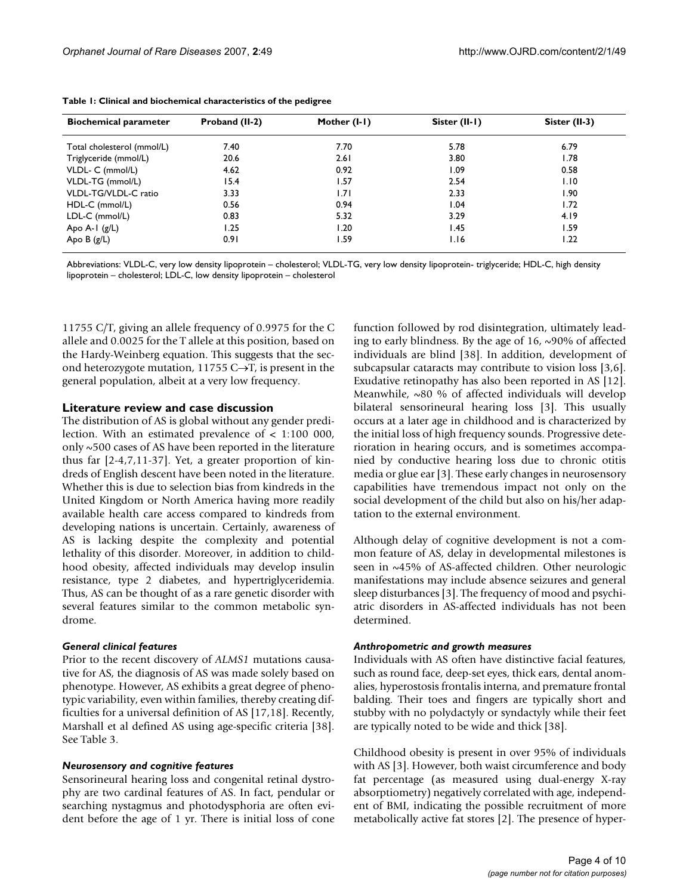| <b>Biochemical parameter</b> | Proband (II-2) | Mother (I-1) | Sister (II-1) | Sister (II-3) |
|------------------------------|----------------|--------------|---------------|---------------|
| Total cholesterol (mmol/L)   | 7.40           | 7.70         | 5.78          | 6.79          |
| Triglyceride (mmol/L)        | 20.6           | 2.61         | 3.80          | 1.78          |
| VLDL- C (mmol/L)             | 4.62           | 0.92         | 1.09          | 0.58          |
| VLDL-TG (mmol/L)             | 15.4           | 1.57         | 2.54          | 1.10          |
| VLDL-TG/VLDL-C ratio         | 3.33           | 1.71         | 2.33          | 1.90          |
| HDL-C (mmol/L)               | 0.56           | 0.94         | 1.04          | 1.72          |
| LDL-C (mmol/L)               | 0.83           | 5.32         | 3.29          | 4.19          |
| Apo A-1 $(g/L)$              | 1.25           | 1.20         | l.45          | 1.59          |
| Apo $B(g/L)$                 | 0.91           | l.59         | 1.16          | 1.22          |

| Table 1: Clinical and biochemical characteristics of the pedigree |  |  |  |  |  |  |
|-------------------------------------------------------------------|--|--|--|--|--|--|
|-------------------------------------------------------------------|--|--|--|--|--|--|

Abbreviations: VLDL-C, very low density lipoprotein – cholesterol; VLDL-TG, very low density lipoprotein- triglyceride; HDL-C, high density lipoprotein – cholesterol; LDL-C, low density lipoprotein – cholesterol

11755 C/T, giving an allele frequency of 0.9975 for the C allele and 0.0025 for the T allele at this position, based on the Hardy-Weinberg equation. This suggests that the second heterozygote mutation, 11755 C $\rightarrow$ T, is present in the general population, albeit at a very low frequency.

### **Literature review and case discussion**

The distribution of AS is global without any gender predilection. With an estimated prevalence of < 1:100 000, only ~500 cases of AS have been reported in the literature thus far [2-4,7,11-37]. Yet, a greater proportion of kindreds of English descent have been noted in the literature. Whether this is due to selection bias from kindreds in the United Kingdom or North America having more readily available health care access compared to kindreds from developing nations is uncertain. Certainly, awareness of AS is lacking despite the complexity and potential lethality of this disorder. Moreover, in addition to childhood obesity, affected individuals may develop insulin resistance, type 2 diabetes, and hypertriglyceridemia. Thus, AS can be thought of as a rare genetic disorder with several features similar to the common metabolic syndrome.

#### *General clinical features*

Prior to the recent discovery of *ALMS1* mutations causative for AS, the diagnosis of AS was made solely based on phenotype. However, AS exhibits a great degree of phenotypic variability, even within families, thereby creating difficulties for a universal definition of AS [17,18]. Recently, Marshall et al defined AS using age-specific criteria [38]. See Table 3.

# *Neurosensory and cognitive features*

Sensorineural hearing loss and congenital retinal dystrophy are two cardinal features of AS. In fact, pendular or searching nystagmus and photodysphoria are often evident before the age of 1 yr. There is initial loss of cone function followed by rod disintegration, ultimately leading to early blindness. By the age of 16, ~90% of affected individuals are blind [38]. In addition, development of subcapsular cataracts may contribute to vision loss [3,6]. Exudative retinopathy has also been reported in AS [12]. Meanwhile, ~80 % of affected individuals will develop bilateral sensorineural hearing loss [3]. This usually occurs at a later age in childhood and is characterized by the initial loss of high frequency sounds. Progressive deterioration in hearing occurs, and is sometimes accompanied by conductive hearing loss due to chronic otitis media or glue ear [3]. These early changes in neurosensory capabilities have tremendous impact not only on the social development of the child but also on his/her adaptation to the external environment.

Although delay of cognitive development is not a common feature of AS, delay in developmental milestones is seen in ~45% of AS-affected children. Other neurologic manifestations may include absence seizures and general sleep disturbances [3]. The frequency of mood and psychiatric disorders in AS-affected individuals has not been determined.

#### *Anthropometric and growth measures*

Individuals with AS often have distinctive facial features, such as round face, deep-set eyes, thick ears, dental anomalies, hyperostosis frontalis interna, and premature frontal balding. Their toes and fingers are typically short and stubby with no polydactyly or syndactyly while their feet are typically noted to be wide and thick [38].

Childhood obesity is present in over 95% of individuals with AS [3]. However, both waist circumference and body fat percentage (as measured using dual-energy X-ray absorptiometry) negatively correlated with age, independent of BMI, indicating the possible recruitment of more metabolically active fat stores [2]. The presence of hyper-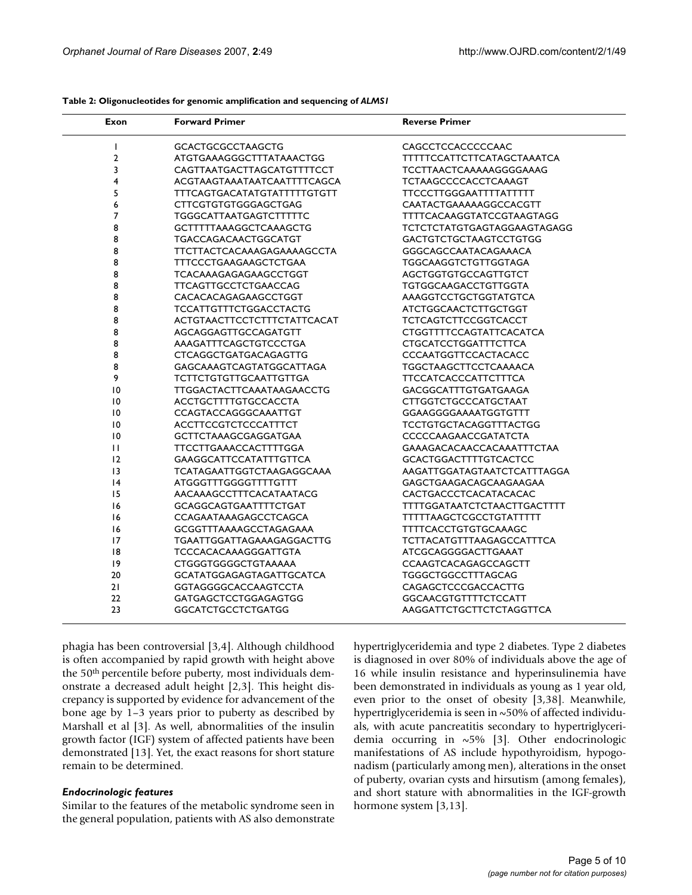| Exon            | <b>Forward Primer</b>              | <b>Reverse Primer</b>              |
|-----------------|------------------------------------|------------------------------------|
| T               | <b>GCACTGCGCCTAAGCTG</b>           | CAGCCTCCACCCCCAAC                  |
| $\overline{2}$  | ATGTGAAAGGGCTTTATAAACTGG           | <b>TTTTTCCATTCTTCATAGCTAAATCA</b>  |
| 3               | CAGTTAATGACTTAGCATGTTTTCCT         | TCCTTAACTCAAAAAGGGGAAAG            |
| 4               | ACGTAAGTAAATAATCAATTTTCAGCA        | TCTAAGCCCCACCTCAAAGT               |
| 5               | <b>TTTCAGTGACATATGTATTTTTGTGTT</b> | <b>TTCCCTTGGGAATTTTATTTTT</b>      |
| 6               | <b>CTTCGTGTGTGGGAGCTGAG</b>        | CAATACTGAAAAAGGCCACGTT             |
| 7               | <b>TGGGCATTAATGAGTCTTTTTC</b>      | <b>TTTTCACAAGGTATCCGTAAGTAGG</b>   |
| 8               | <b>GCTTTTTAAAGGCTCAAAGCTG</b>      | TCTCTCTATGTGAGTAGGAAGTAGAGG        |
| 8               | <b>TGACCAGACAACTGGCATGT</b>        | <b>GACTGTCTGCTAAGTCCTGTGG</b>      |
| 8               | TTCTTACTCACAAAGAGAAAAGCCTA         | GGGCAGCCAATACAGAAACA               |
| 8               | <b>TTTCCCTGAAGAAGCTCTGAA</b>       | TGGCAAGGTCTGTTGGTAGA               |
| 8               | TCACAAAGAGAGAAGCCTGGT              | <b>AGCTGGTGTGCCAGTTGTCT</b>        |
| 8               | <b>TTCAGTTGCCTCTGAACCAG</b>        | TGTGGCAAGACCTGTTGGTA               |
| 8               | CACACACAGAGAAGCCTGGT               | AAAGGTCCTGCTGGTATGTCA              |
| 8               | <b>TCCATTGTTTCTGGACCTACTG</b>      | ATCTGGCAACTCTTGCTGGT               |
| 8               | ACTGTAACTTCCTCTTTCTATTCACAT        | <b>TCTCAGTCTTCCGGTCACCT</b>        |
| 8               | AGCAGGAGTTGCCAGATGTT               | <b>CTGGTTTTCCAGTATTCACATCA</b>     |
| 8               | AAAGATTTCAGCTGTCCCTGA              | <b>CTGCATCCTGGATTTCTTCA</b>        |
| 8               | <b>CTCAGGCTGATGACAGAGTTG</b>       | <b>CCCAATGGTTCCACTACACC</b>        |
| 8               | GAGCAAAGTCAGTATGGCATTAGA           | TGGCTAAGCTTCCTCAAAACA              |
| 9               | <b>TCTTCTGTGTTGCAATTGTTGA</b>      | <b>TTCCATCACCCATTCTTTCA</b>        |
| $\overline{10}$ | <b>TTGGACTACTTCAAATAAGAACCTG</b>   | <b>GACGGCATTTGTGATGAAGA</b>        |
| $\overline{10}$ | <b>ACCTGCTTTTGTGCCACCTA</b>        | <b>CTTGGTCTGCCCATGCTAAT</b>        |
| $\overline{10}$ | <b>CCAGTACCAGGGCAAATTGT</b>        | GGAAGGGGAAAATGGTGTTT               |
| 10              | ACCTTCCGTCTCCCATTTCT               | TCCTGTGCTACAGGTTTACTGG             |
| $\overline{10}$ | <b>GCTTCTAAAGCGAGGATGAA</b>        | <b>CCCCCAAGAACCGATATCTA</b>        |
| $\mathbf{H}$    | <b>TTCCTTGAAACCACTTTTGGA</b>       | <b>GAAAGACACAACCACAAATTTCTAA</b>   |
| 12              | <b>GAAGGCATTCCATATTTGTTCA</b>      | <b>GCACTGGACTTTTGTCACTCC</b>       |
| $\overline{13}$ | TCATAGAATTGGTCTAAGAGGCAAA          | AAGATTGGATAGTAATCTCATTTAGGA        |
| 4               | ATGGGTTTGGGGTTTTGTTT               | GAGCTGAAGACAGCAAGAAGAA             |
| 15              | AACAAAGCCTTTCACATAATACG            | CACTGACCCTCACATACACAC              |
| 16              | <b>GCAGGCAGTGAATTTTCTGAT</b>       | <b>TTTTGGATAATCTCTAACTTGACTTTT</b> |
| 16              | <b>CCAGAATAAAGAGCCTCAGCA</b>       | <b>TTTTTAAGCTCGCCTGTATTTTT</b>     |
| 16              | <b>GCGGTTTAAAAGCCTAGAGAAA</b>      | <b>TTTTCACCTGTGTGCAAAGC</b>        |
| $\overline{17}$ | TGAATTGGATTAGAAAGAGGACTTG          | TCTTACATGTTTAAGAGCCATTTCA          |
| 18              | <b>TCCCACACAAAGGGATTGTA</b>        | ATCGCAGGGGACTTGAAAT                |
| 9               | <b>CTGGGTGGGGCTGTAAAAA</b>         | <b>CCAAGTCACAGAGCCAGCTT</b>        |
| 20              | <b>GCATATGGAGAGTAGATTGCATCA</b>    | TGGGCTGGCCTTTAGCAG                 |
| 21              | <b>GGTAGGGGCACCAAGTCCTA</b>        | <b>CAGAGCTCCCGACCACTTG</b>         |
| 22              | <b>GATGAGCTCCTGGAGAGTGG</b>        | <b>GGCAACGTGTTTTCTCCATT</b>        |
| 23              | <b>GGCATCTGCCTCTGATGG</b>          | AAGGATTCTGCTTCTCTAGGTTCA           |
|                 |                                    |                                    |

**Table 2: Oligonucleotides for genomic amplification and sequencing of** *ALMS1*

phagia has been controversial [3,4]. Although childhood is often accompanied by rapid growth with height above the 50th percentile before puberty, most individuals demonstrate a decreased adult height [2,3]. This height discrepancy is supported by evidence for advancement of the bone age by 1–3 years prior to puberty as described by Marshall et al [3]. As well, abnormalities of the insulin growth factor (IGF) system of affected patients have been demonstrated [13]. Yet, the exact reasons for short stature remain to be determined.

#### *Endocrinologic features*

Similar to the features of the metabolic syndrome seen in the general population, patients with AS also demonstrate hypertriglyceridemia and type 2 diabetes. Type 2 diabetes is diagnosed in over 80% of individuals above the age of 16 while insulin resistance and hyperinsulinemia have been demonstrated in individuals as young as 1 year old, even prior to the onset of obesity [3,38]. Meanwhile, hypertriglyceridemia is seen in ~50% of affected individuals, with acute pancreatitis secondary to hypertriglyceridemia occurring in ~5% [3]. Other endocrinologic manifestations of AS include hypothyroidism, hypogonadism (particularly among men), alterations in the onset of puberty, ovarian cysts and hirsutism (among females), and short stature with abnormalities in the IGF-growth hormone system [3,13].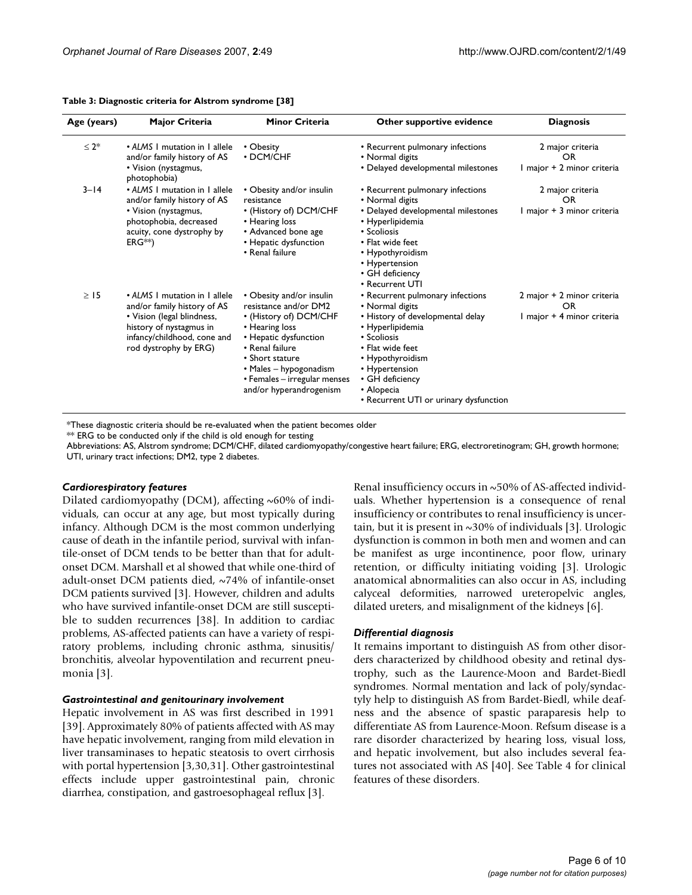| Age (years) | Major Criteria                                                                                                                                                                | <b>Minor Criteria</b>                                                                                                                                                                                                                             | Other supportive evidence                                                                                                                                                                                                                                       | <b>Diagnosis</b>                                               |
|-------------|-------------------------------------------------------------------------------------------------------------------------------------------------------------------------------|---------------------------------------------------------------------------------------------------------------------------------------------------------------------------------------------------------------------------------------------------|-----------------------------------------------------------------------------------------------------------------------------------------------------------------------------------------------------------------------------------------------------------------|----------------------------------------------------------------|
| $\leq 2^*$  | • ALMS I mutation in I allele<br>and/or family history of AS<br>• Vision (nystagmus,<br>photophobia)                                                                          | • Obesity<br>$\cdot$ DCM/CHF                                                                                                                                                                                                                      | • Recurrent pulmonary infections<br>• Normal digits<br>• Delayed developmental milestones                                                                                                                                                                       | 2 major criteria<br>OR<br>I major + 2 minor criteria           |
| $3 - 14$    | • ALMS I mutation in I allele<br>and/or family history of AS<br>• Vision (nystagmus,<br>photophobia, decreased<br>acuity, cone dystrophy by<br>$ERG^{**}$                     | • Obesity and/or insulin<br>resistance<br>• (History of) DCM/CHF<br>• Hearing loss<br>• Advanced bone age<br>• Hepatic dysfunction<br>• Renal failure                                                                                             | • Recurrent pulmonary infections<br>• Normal digits<br>• Delayed developmental milestones<br>• Hyperlipidemia<br>• Scoliosis<br>• Flat wide feet<br>• Hypothyroidism<br>• Hypertension<br>• GH deficiency<br>• Recurrent UTI                                    | 2 major criteria<br>OR<br>I major + 3 minor criteria           |
| $\geq$ 15   | • ALMS I mutation in I allele<br>and/or family history of AS<br>• Vision (legal blindness,<br>history of nystagmus in<br>infancy/childhood, cone and<br>rod dystrophy by ERG) | • Obesity and/or insulin<br>resistance and/or DM2<br>• (History of) DCM/CHF<br>• Hearing loss<br>• Hepatic dysfunction<br>• Renal failure<br>• Short stature<br>• Males – hypogonadism<br>• Females – irregular menses<br>and/or hyperandrogenism | • Recurrent pulmonary infections<br>• Normal digits<br>• History of developmental delay<br>• Hyperlipidemia<br>• Scoliosis<br>• Flat wide feet<br>• Hypothyroidism<br>• Hypertension<br>• GH deficiency<br>• Alopecia<br>• Recurrent UTI or urinary dysfunction | 2 major + 2 minor criteria<br>OR<br>I major + 4 minor criteria |

**Table 3: Diagnostic criteria for Alstrom syndrome [38]**

\*These diagnostic criteria should be re-evaluated when the patient becomes older

\*\* ERG to be conducted only if the child is old enough for testing

Abbreviations: AS, Alstrom syndrome; DCM/CHF, dilated cardiomyopathy/congestive heart failure; ERG, electroretinogram; GH, growth hormone; UTI, urinary tract infections; DM2, type 2 diabetes.

#### *Cardiorespiratory features*

Dilated cardiomyopathy (DCM), affecting  $\sim60\%$  of individuals, can occur at any age, but most typically during infancy. Although DCM is the most common underlying cause of death in the infantile period, survival with infantile-onset of DCM tends to be better than that for adultonset DCM. Marshall et al showed that while one-third of adult-onset DCM patients died,  $\sim$ 74% of infantile-onset DCM patients survived [3]. However, children and adults who have survived infantile-onset DCM are still susceptible to sudden recurrences [38]. In addition to cardiac problems, AS-affected patients can have a variety of respiratory problems, including chronic asthma, sinusitis/ bronchitis, alveolar hypoventilation and recurrent pneumonia [3].

#### *Gastrointestinal and genitourinary involvement*

Hepatic involvement in AS was first described in 1991 [39]. Approximately 80% of patients affected with AS may have hepatic involvement, ranging from mild elevation in liver transaminases to hepatic steatosis to overt cirrhosis with portal hypertension [3,30,31]. Other gastrointestinal effects include upper gastrointestinal pain, chronic diarrhea, constipation, and gastroesophageal reflux [3].

Renal insufficiency occurs in ~50% of AS-affected individuals. Whether hypertension is a consequence of renal insufficiency or contributes to renal insufficiency is uncertain, but it is present in ~30% of individuals [3]. Urologic dysfunction is common in both men and women and can be manifest as urge incontinence, poor flow, urinary retention, or difficulty initiating voiding [3]. Urologic anatomical abnormalities can also occur in AS, including calyceal deformities, narrowed ureteropelvic angles, dilated ureters, and misalignment of the kidneys [6].

# *Differential diagnosis*

It remains important to distinguish AS from other disorders characterized by childhood obesity and retinal dystrophy, such as the Laurence-Moon and Bardet-Biedl syndromes. Normal mentation and lack of poly/syndactyly help to distinguish AS from Bardet-Biedl, while deafness and the absence of spastic paraparesis help to differentiate AS from Laurence-Moon. Refsum disease is a rare disorder characterized by hearing loss, visual loss, and hepatic involvement, but also includes several features not associated with AS [40]. See Table 4 for clinical features of these disorders.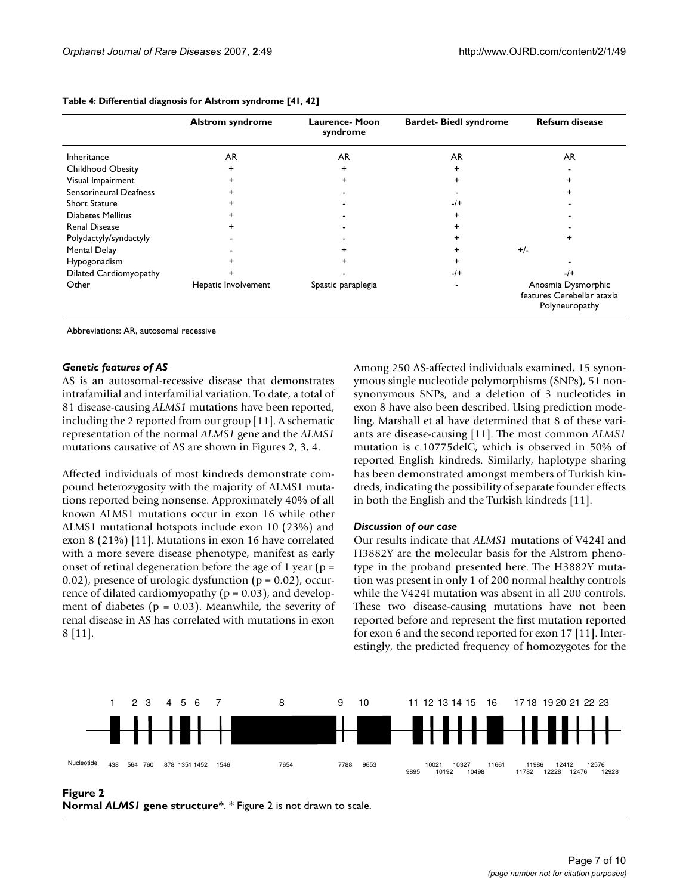|                          | <b>Alstrom syndrome</b> | <b>Laurence-Moon</b><br>syndrome | <b>Bardet-Biedl syndrome</b> | <b>Refsum disease</b>                                              |
|--------------------------|-------------------------|----------------------------------|------------------------------|--------------------------------------------------------------------|
| Inheritance              | AR.                     | AR.                              | AR.                          | AR                                                                 |
| <b>Childhood Obesity</b> | +                       | +                                | +                            |                                                                    |
| Visual Impairment        | $\ddot{}$               | ÷                                | +                            | ٠                                                                  |
| Sensorineural Deafness   |                         |                                  |                              |                                                                    |
| <b>Short Stature</b>     |                         |                                  | $-1$                         |                                                                    |
| Diabetes Mellitus        |                         |                                  | ٠                            |                                                                    |
| <b>Renal Disease</b>     | ٠                       |                                  | +                            |                                                                    |
| Polydactyly/syndactyly   |                         |                                  |                              |                                                                    |
| Mental Delay             |                         |                                  |                              | $+/-$                                                              |
| Hypogonadism             |                         |                                  | +                            |                                                                    |
| Dilated Cardiomyopathy   |                         |                                  | $-$ /+                       | $-$ /+                                                             |
| Other                    | Hepatic Involvement     | Spastic paraplegia               |                              | Anosmia Dysmorphic<br>features Cerebellar ataxia<br>Polyneuropathy |

**Table 4: Differential diagnosis for Alstrom syndrome [41, 42]**

Abbreviations: AR, autosomal recessive

#### *Genetic features of AS*

AS is an autosomal-recessive disease that demonstrates intrafamilial and interfamilial variation. To date, a total of 81 disease-causing *ALMS1* mutations have been reported, including the 2 reported from our group [11]. A schematic representation of the normal *ALMS1* gene and the *ALMS1* mutations causative of AS are shown in Figures 2, 3, 4.

Affected individuals of most kindreds demonstrate compound heterozygosity with the majority of ALMS1 mutations reported being nonsense. Approximately 40% of all known ALMS1 mutations occur in exon 16 while other ALMS1 mutational hotspots include exon 10 (23%) and exon 8 (21%) [11]. Mutations in exon 16 have correlated with a more severe disease phenotype, manifest as early onset of retinal degeneration before the age of 1 year ( $p =$ 0.02), presence of urologic dysfunction ( $p = 0.02$ ), occurrence of dilated cardiomyopathy ( $p = 0.03$ ), and development of diabetes ( $p = 0.03$ ). Meanwhile, the severity of renal disease in AS has correlated with mutations in exon 8 [11].

Among 250 AS-affected individuals examined, 15 synonymous single nucleotide polymorphisms (SNPs), 51 nonsynonymous SNPs, and a deletion of 3 nucleotides in exon 8 have also been described. Using prediction modeling, Marshall et al have determined that 8 of these variants are disease-causing [11]. The most common *ALMS1* mutation is c.10775delC, which is observed in 50% of reported English kindreds. Similarly, haplotype sharing has been demonstrated amongst members of Turkish kindreds, indicating the possibility of separate founder effects in both the English and the Turkish kindreds [11].

#### *Discussion of our case*

Our results indicate that *ALMS1* mutations of V424I and H3882Y are the molecular basis for the Alstrom phenotype in the proband presented here. The H3882Y mutation was present in only 1 of 200 normal healthy controls while the V424I mutation was absent in all 200 controls. These two disease-causing mutations have not been reported before and represent the first mutation reported for exon 6 and the second reported for exon 17 [11]. Interestingly, the predicted frequency of homozygotes for the



**Figure 2** 

**Normal** *ALMS1* **gene structure\***. \* Figure 2 is not drawn to scale.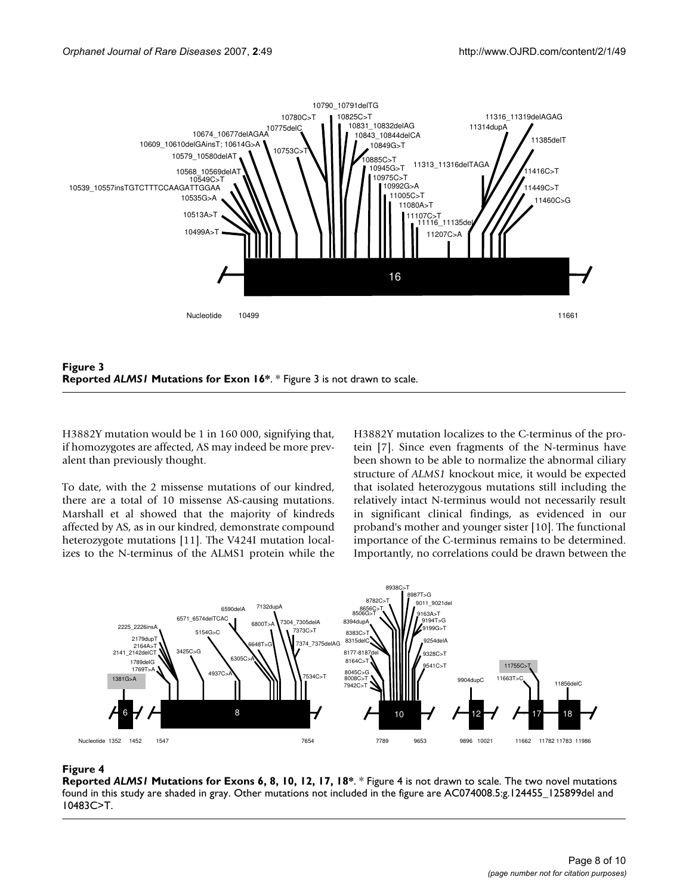



H3882Y mutation would be 1 in 160 000, signifying that, if homozygotes are affected, AS may indeed be more prevalent than previously thought.

To date, with the 2 missense mutations of our kindred, there are a total of 10 missense AS-causing mutations. Marshall et al showed that the majority of kindreds affected by AS, as in our kindred, demonstrate compound heterozygote mutations [11]. The V424I mutation localizes to the N-terminus of the ALMS1 protein while the H3882Y mutation localizes to the C-terminus of the protein [7]. Since even fragments of the N-terminus have been shown to be able to normalize the abnormal ciliary structure of *ALMS1* knockout mice, it would be expected that isolated heterozygous mutations still including the relatively intact N-terminus would not necessarily result in significant clinical findings, as evidenced in our proband's mother and younger sister [10]. The functional importance of the C-terminus remains to be determined. Importantly, no correlations could be drawn between the



#### **Figure 4**

**Reported** *ALMS1* **Mutations for Exons 6, 8, 10, 12, 17, 18\***. \* Figure 4 is not drawn to scale. The two novel mutations found in this study are shaded in gray. Other mutations not included in the figure are AC074008.5:g.124455\_125899del and 10483C>T.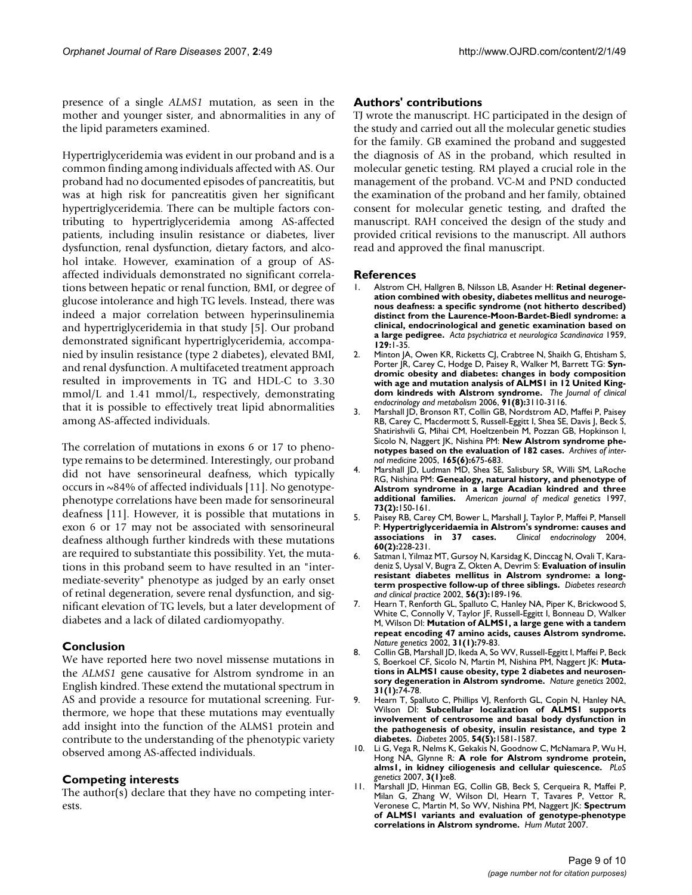presence of a single *ALMS1* mutation, as seen in the mother and younger sister, and abnormalities in any of the lipid parameters examined.

Hypertriglyceridemia was evident in our proband and is a common finding among individuals affected with AS. Our proband had no documented episodes of pancreatitis, but was at high risk for pancreatitis given her significant hypertriglyceridemia. There can be multiple factors contributing to hypertriglyceridemia among AS-affected patients, including insulin resistance or diabetes, liver dysfunction, renal dysfunction, dietary factors, and alcohol intake. However, examination of a group of ASaffected individuals demonstrated no significant correlations between hepatic or renal function, BMI, or degree of glucose intolerance and high TG levels. Instead, there was indeed a major correlation between hyperinsulinemia and hypertriglyceridemia in that study [5]. Our proband demonstrated significant hypertriglyceridemia, accompanied by insulin resistance (type 2 diabetes), elevated BMI, and renal dysfunction. A multifaceted treatment approach resulted in improvements in TG and HDL-C to 3.30 mmol/L and 1.41 mmol/L, respectively, demonstrating that it is possible to effectively treat lipid abnormalities among AS-affected individuals.

The correlation of mutations in exons 6 or 17 to phenotype remains to be determined. Interestingly, our proband did not have sensorineural deafness, which typically occurs in ~84% of affected individuals [11]. No genotypephenotype correlations have been made for sensorineural deafness [11]. However, it is possible that mutations in exon 6 or 17 may not be associated with sensorineural deafness although further kindreds with these mutations are required to substantiate this possibility. Yet, the mutations in this proband seem to have resulted in an "intermediate-severity" phenotype as judged by an early onset of retinal degeneration, severe renal dysfunction, and significant elevation of TG levels, but a later development of diabetes and a lack of dilated cardiomyopathy.

# **Conclusion**

We have reported here two novel missense mutations in the *ALMS1* gene causative for Alstrom syndrome in an English kindred. These extend the mutational spectrum in AS and provide a resource for mutational screening. Furthermore, we hope that these mutations may eventually add insight into the function of the ALMS1 protein and contribute to the understanding of the phenotypic variety observed among AS-affected individuals.

# **Competing interests**

The author(s) declare that they have no competing interests.

# **Authors' contributions**

TJ wrote the manuscript. HC participated in the design of the study and carried out all the molecular genetic studies for the family. GB examined the proband and suggested the diagnosis of AS in the proband, which resulted in molecular genetic testing. RM played a crucial role in the management of the proband. VC-M and PND conducted the examination of the proband and her family, obtained consent for molecular genetic testing, and drafted the manuscript. RAH conceived the design of the study and provided critical revisions to the manuscript. All authors read and approved the final manuscript.

# **References**

- 1. Alstrom CH, Hallgren B, Nilsson LB, Asander H: **[Retinal degener](http://www.ncbi.nlm.nih.gov/entrez/query.fcgi?cmd=Retrieve&db=PubMed&dopt=Abstract&list_uids=13649370)ation combined with obesity, diabetes mellitus and neuroge[nous deafness: a specific syndrome \(not hitherto described\)](http://www.ncbi.nlm.nih.gov/entrez/query.fcgi?cmd=Retrieve&db=PubMed&dopt=Abstract&list_uids=13649370) distinct from the Laurence-Moon-Bardet-Biedl syndrome: a clinical, endocrinological and genetic examination based on [a large pedigree.](http://www.ncbi.nlm.nih.gov/entrez/query.fcgi?cmd=Retrieve&db=PubMed&dopt=Abstract&list_uids=13649370)** *Acta psychiatrica et neurologica Scandinavica* 1959, **129:**1-35.
- 2. Minton JA, Owen KR, Ricketts CJ, Crabtree N, Shaikh G, Ehtisham S, Porter *JR*, Carey C, Hodge D, Paisey R, Walker M, Barrett TG: Syn**dromic obesity and diabetes: changes in body composition with age and mutation analysis of ALMS1 in 12 United Kingdom kindreds with Alstrom syndrome.** *The Journal of clinical endocrinology and metabolism* 2006, **91(8):**3110-3116.
- 3. Marshall JD, Bronson RT, Collin GB, Nordstrom AD, Maffei P, Paisey RB, Carey C, Macdermott S, Russell-Eggitt I, Shea SE, Davis J, Beck S, Shatirishvili G, Mihai CM, Hoeltzenbein M, Pozzan GB, Hopkinson I, Sicolo N, Naggert JK, Nishina PM: **[New Alstrom syndrome phe](http://www.ncbi.nlm.nih.gov/entrez/query.fcgi?cmd=Retrieve&db=PubMed&dopt=Abstract&list_uids=15795345)[notypes based on the evaluation of 182 cases.](http://www.ncbi.nlm.nih.gov/entrez/query.fcgi?cmd=Retrieve&db=PubMed&dopt=Abstract&list_uids=15795345)** *Archives of internal medicine* 2005, **165(6):**675-683.
- 4. Marshall JD, Ludman MD, Shea SE, Salisbury SR, Willi SM, LaRoche RG, Nishina PM: **[Genealogy, natural history, and phenotype of](http://www.ncbi.nlm.nih.gov/entrez/query.fcgi?cmd=Retrieve&db=PubMed&dopt=Abstract&list_uids=9409865) [Alstrom syndrome in a large Acadian kindred and three](http://www.ncbi.nlm.nih.gov/entrez/query.fcgi?cmd=Retrieve&db=PubMed&dopt=Abstract&list_uids=9409865) [additional families.](http://www.ncbi.nlm.nih.gov/entrez/query.fcgi?cmd=Retrieve&db=PubMed&dopt=Abstract&list_uids=9409865)** *American journal of medical genetics* 1997, **73(2):**150-161.
- 5. Paisey RB, Carey CM, Bower L, Marshall J, Taylor P, Maffei P, Mansell P: **[Hypertriglyceridaemia in Alstrom's syndrome: causes and](http://www.ncbi.nlm.nih.gov/entrez/query.fcgi?cmd=Retrieve&db=PubMed&dopt=Abstract&list_uids=14725685) [associations in 37 cases.](http://www.ncbi.nlm.nih.gov/entrez/query.fcgi?cmd=Retrieve&db=PubMed&dopt=Abstract&list_uids=14725685)** *Clinical endocrinology* 2004, **60(2):**228-231.
- 6. Satman I, Yilmaz MT, Gursoy N, Karsidag K, Dinccag N, Ovali T, Karadeniz S, Uysal V, Bugra Z, Okten A, Devrim S: **Evaluation of insulin resistant diabetes mellitus in Alstrom syndrome: a longterm prospective follow-up of three siblings.** *Diabetes research and clinical practice* 2002, **56(3):**189-196.
- 7. Hearn T, Renforth GL, Spalluto C, Hanley NA, Piper K, Brickwood S, White C, Connolly V, Taylor JF, Russell-Eggitt I, Bonneau D, Walker M, Wilson DI: **[Mutation of ALMS1, a large gene with a tandem](http://www.ncbi.nlm.nih.gov/entrez/query.fcgi?cmd=Retrieve&db=PubMed&dopt=Abstract&list_uids=11941370) [repeat encoding 47 amino acids, causes Alstrom syndrome.](http://www.ncbi.nlm.nih.gov/entrez/query.fcgi?cmd=Retrieve&db=PubMed&dopt=Abstract&list_uids=11941370)** *Nature genetics* 2002, **31(1):**79-83.
- 8. Collin GB, Marshall JD, Ikeda A, So WV, Russell-Eggitt I, Maffei P, Beck S, Boerkoel CF, Sicolo N, Martin M, Nishina PM, Naggert JK: **[Muta](http://www.ncbi.nlm.nih.gov/entrez/query.fcgi?cmd=Retrieve&db=PubMed&dopt=Abstract&list_uids=11941369)[tions in ALMS1 cause obesity, type 2 diabetes and neurosen](http://www.ncbi.nlm.nih.gov/entrez/query.fcgi?cmd=Retrieve&db=PubMed&dopt=Abstract&list_uids=11941369)[sory degeneration in Alstrom syndrome.](http://www.ncbi.nlm.nih.gov/entrez/query.fcgi?cmd=Retrieve&db=PubMed&dopt=Abstract&list_uids=11941369)** *Nature genetics* 2002, **31(1):**74-78.
- 9. Hearn T, Spalluto C, Phillips VJ, Renforth GL, Copin N, Hanley NA, Wilson DI: **[Subcellular localization of ALMS1 supports](http://www.ncbi.nlm.nih.gov/entrez/query.fcgi?cmd=Retrieve&db=PubMed&dopt=Abstract&list_uids=15855349) involvement of centrosome and basal body dysfunction in [the pathogenesis of obesity, insulin resistance, and type 2](http://www.ncbi.nlm.nih.gov/entrez/query.fcgi?cmd=Retrieve&db=PubMed&dopt=Abstract&list_uids=15855349) [diabetes.](http://www.ncbi.nlm.nih.gov/entrez/query.fcgi?cmd=Retrieve&db=PubMed&dopt=Abstract&list_uids=15855349)** *Diabetes* 2005, **54(5):**1581-1587.
- 10. Li G, Vega R, Nelms K, Gekakis N, Goodnow C, McNamara P, Wu H, Hong NA, Glynne R: **[A role for Alstrom syndrome protein,](http://www.ncbi.nlm.nih.gov/entrez/query.fcgi?cmd=Retrieve&db=PubMed&dopt=Abstract&list_uids=17206865) [alms1, in kidney ciliogenesis and cellular quiescence.](http://www.ncbi.nlm.nih.gov/entrez/query.fcgi?cmd=Retrieve&db=PubMed&dopt=Abstract&list_uids=17206865)** *PLoS genetics* 2007, **3(1):**e8.
- Marshall JD, Hinman EG, Collin GB, Beck S, Cerqueira R, Maffei P, Milan G, Zhang W, Wilson DI, Hearn T, Tavares P, Vettor R, Veronese C, Martin M, So WV, Nishina PM, Naggert JK: **[Spectrum](http://www.ncbi.nlm.nih.gov/entrez/query.fcgi?cmd=Retrieve&db=PubMed&dopt=Abstract&list_uids=17594715) [of ALMS1 variants and evaluation of genotype-phenotype](http://www.ncbi.nlm.nih.gov/entrez/query.fcgi?cmd=Retrieve&db=PubMed&dopt=Abstract&list_uids=17594715) [correlations in Alstrom syndrome.](http://www.ncbi.nlm.nih.gov/entrez/query.fcgi?cmd=Retrieve&db=PubMed&dopt=Abstract&list_uids=17594715)** *Hum Mutat* 2007.